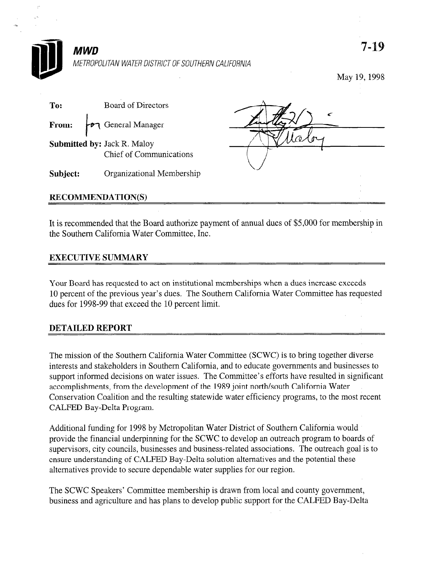

May 19,1998

| To:                      | Board of Directors                                            |  |  |
|--------------------------|---------------------------------------------------------------|--|--|
| From:                    | General Manager                                               |  |  |
|                          | Submitted by: Jack R. Maloy<br><b>Chief of Communications</b> |  |  |
| Subject:                 | Organizational Membership                                     |  |  |
| <b>RECOMMENDATION(S)</b> |                                                               |  |  |

It is recommended that the Board authorize payment of annual dues of \$5,000 for membership in the Southern California Water Committee, Inc.

## EXECUTIVE SUMMARY

Your Board has requested to act on institutional memberships when a dues increase exceeds 10 percent of the previous year's dues. The Southern California Water Committee has requested dues for 1998-99 that exceed the 10 percent limit.

## DETAILED REPORT

The mission of the Southern California Water Committee (SCWC) is to bring together diverse interests and southern California, which Commuted (SCWC) is to bung together diverse interests and stakeholders in Southern California, and to educate governments and businesses to support informed decisions on water issues. The Committee's efforts have resulted in significant accomplishments, from the development of the 1989 joint north/south California Water Conservation Coalition and the resulting statewide water efficiency programs, to the most recent CALFED Bay-Delta Program.

Additional funding for 1998 by Metropolitan Water District of Southern California would provide the financial underpinning for the SCWC to develop an outreach program to boards of supervisors, city councils, businesses and business-related associations. The outreach goal is to ensure understanding of CALFED Bay-Delta solution alternatives and the potential these alternatives provide to secure dependable water supplies for our region.

The SCWC Speakers' Committee membership is drawn from local and county government, business and agriculture and has plans to develop public support for the CALFED Bay-Delta